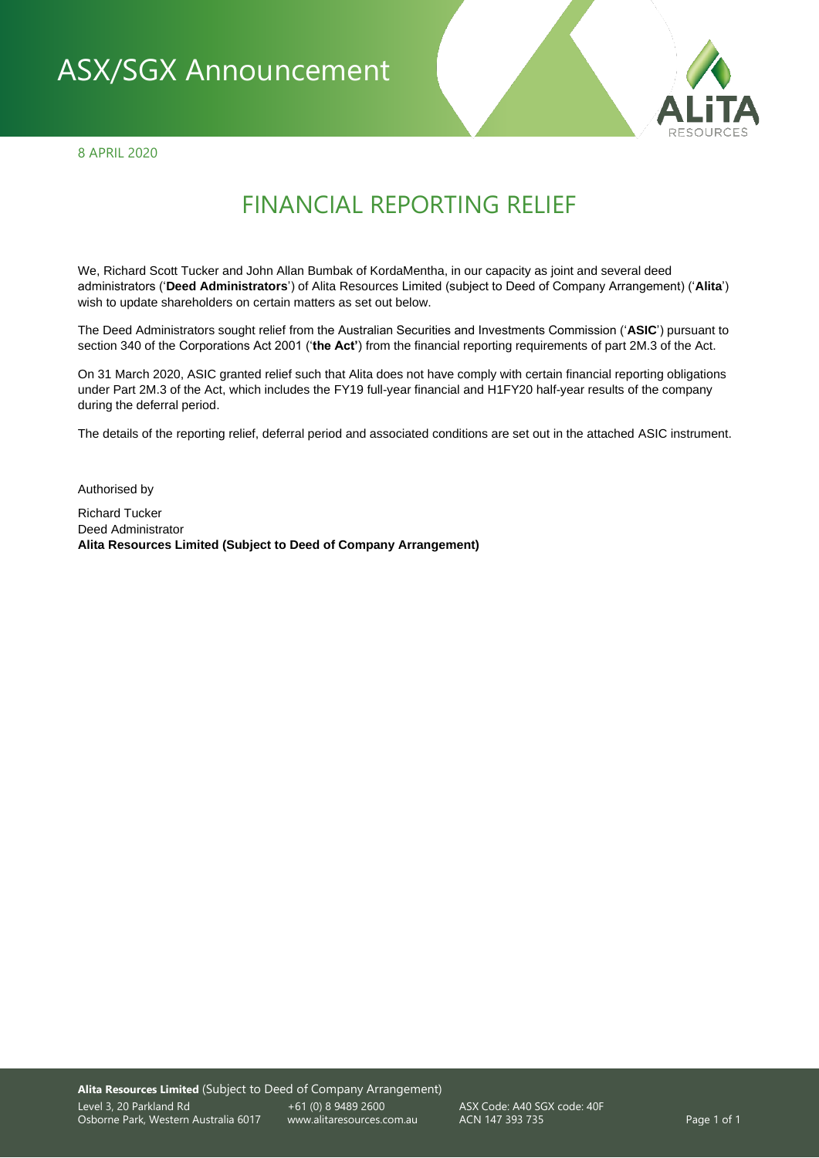# ASX/SGX Announcement

8 APRIL 2020



# FINANCIAL REPORTING RELIEF

We, Richard Scott Tucker and John Allan Bumbak of KordaMentha, in our capacity as joint and several deed administrators ('**Deed Administrators**') of Alita Resources Limited (subject to Deed of Company Arrangement) ('**Alita**') wish to update shareholders on certain matters as set out below.

The Deed Administrators sought relief from the Australian Securities and Investments Commission ('**ASIC**') pursuant to section 340 of the Corporations Act 2001 ('**the Act'**) from the financial reporting requirements of part 2M.3 of the Act.

On 31 March 2020, ASIC granted relief such that Alita does not have comply with certain financial reporting obligations under Part 2M.3 of the Act, which includes the FY19 full-year financial and H1FY20 half-year results of the company during the deferral period.

The details of the reporting relief, deferral period and associated conditions are set out in the attached ASIC instrument.

Authorised by

Richard Tucker Deed Administrator **Alita Resources Limited (Subject to Deed of Company Arrangement)**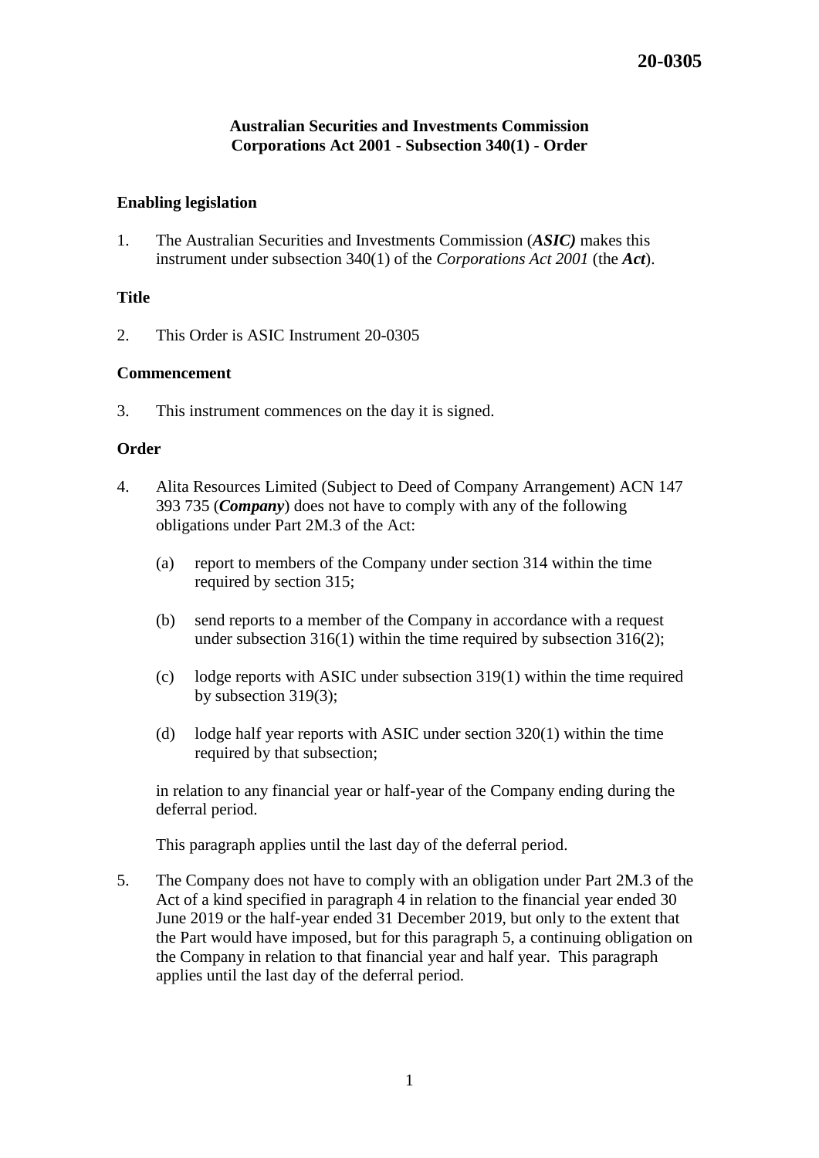# **Australian Securities and Investments Commission Corporations Act 2001 - Subsection 340(1) - Order**

# **Enabling legislation**

1. The Australian Securities and Investments Commission (*ASIC)* makes this instrument under subsection 340(1) of the *Corporations Act 2001* (the *Act*).

### **Title**

2. This Order is ASIC Instrument 20-0305

### **Commencement**

3. This instrument commences on the day it is signed.

### **Order**

- 4. Alita Resources Limited (Subject to Deed of Company Arrangement) ACN 147 393 735 (*Company*) does not have to comply with any of the following obligations under Part 2M.3 of the Act:
	- (a) report to members of the Company under section 314 within the time required by section 315;
	- (b) send reports to a member of the Company in accordance with a request under subsection 316(1) within the time required by subsection 316(2);
	- (c) lodge reports with ASIC under subsection 319(1) within the time required by subsection 319(3);
	- (d) lodge half year reports with ASIC under section 320(1) within the time required by that subsection;

in relation to any financial year or half-year of the Company ending during the deferral period.

This paragraph applies until the last day of the deferral period.

5. The Company does not have to comply with an obligation under Part 2M.3 of the Act of a kind specified in paragraph 4 in relation to the financial year ended 30 June 2019 or the half-year ended 31 December 2019, but only to the extent that the Part would have imposed, but for this paragraph 5, a continuing obligation on the Company in relation to that financial year and half year. This paragraph applies until the last day of the deferral period.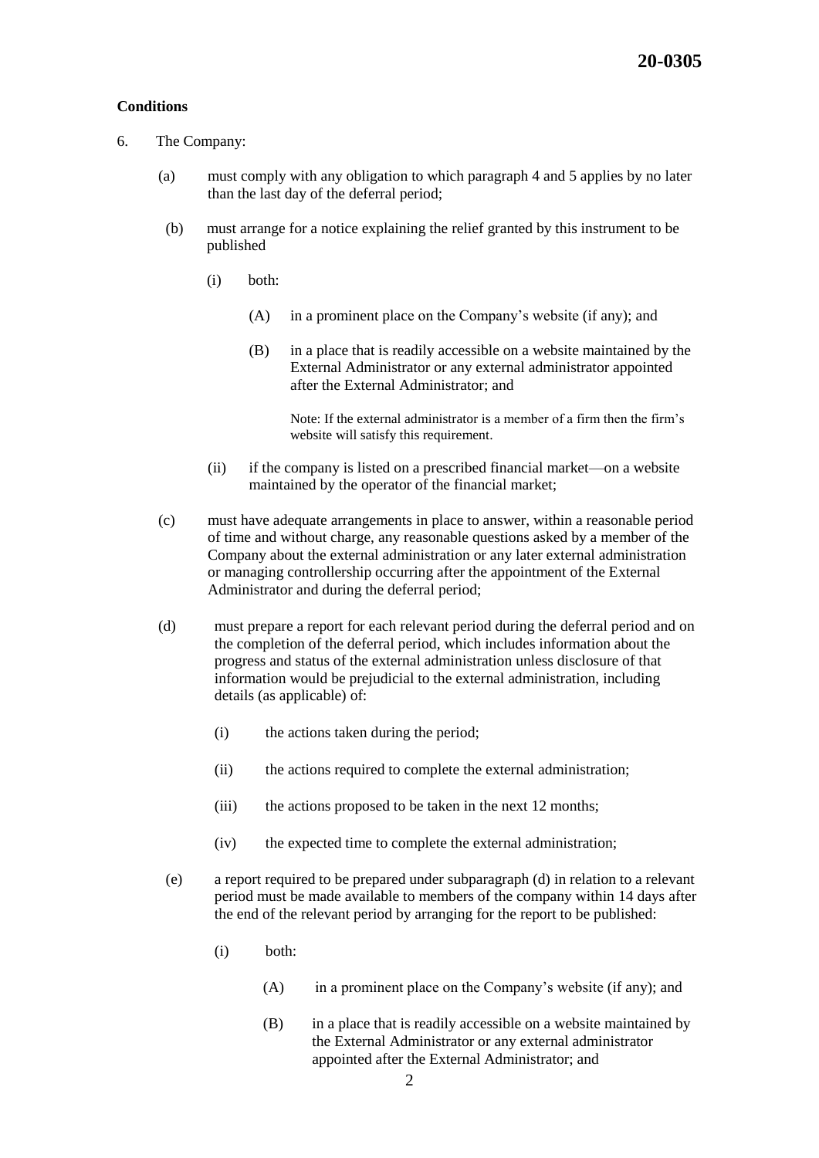#### **Conditions**

- 6. The Company:
	- (a) must comply with any obligation to which paragraph 4 and 5 applies by no later than the last day of the deferral period;
	- (b) must arrange for a notice explaining the relief granted by this instrument to be published
		- (i) both:
			- (A) in a prominent place on the Company's website (if any); and
			- (B) in a place that is readily accessible on a website maintained by the External Administrator or any external administrator appointed after the External Administrator; and

Note: If the external administrator is a member of a firm then the firm's website will satisfy this requirement.

- (ii) if the company is listed on a prescribed financial market—on a website maintained by the operator of the financial market;
- (c) must have adequate arrangements in place to answer, within a reasonable period of time and without charge, any reasonable questions asked by a member of the Company about the external administration or any later external administration or managing controllership occurring after the appointment of the External Administrator and during the deferral period;
- (d) must prepare a report for each relevant period during the deferral period and on the completion of the deferral period, which includes information about the progress and status of the external administration unless disclosure of that information would be prejudicial to the external administration, including details (as applicable) of:
	- (i) the actions taken during the period;
	- (ii) the actions required to complete the external administration;
	- (iii) the actions proposed to be taken in the next 12 months;
	- (iv) the expected time to complete the external administration;
- (e) a report required to be prepared under subparagraph (d) in relation to a relevant period must be made available to members of the company within 14 days after the end of the relevant period by arranging for the report to be published:
	- (i) both:
		- (A) in a prominent place on the Company's website (if any); and
		- (B) in a place that is readily accessible on a website maintained by the External Administrator or any external administrator appointed after the External Administrator; and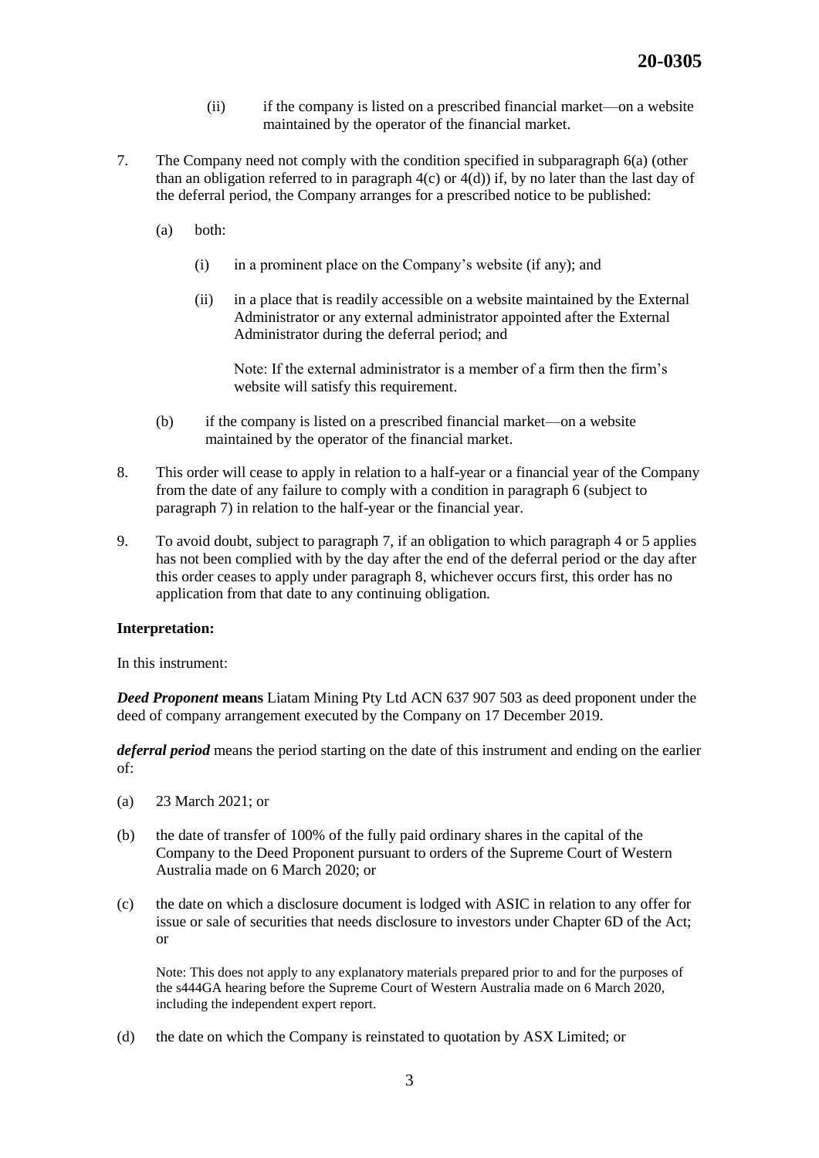- (ii) if the company is listed on a prescribed financial market—on a website maintained by the operator of the financial market.
- 7. The Company need not comply with the condition specified in subparagraph 6(a) (other than an obligation referred to in paragraph  $4(c)$  or  $4(d)$ ) if, by no later than the last day of the deferral period, the Company arranges for a prescribed notice to be published:
	- (a) both:
		- (i) in a prominent place on the Company's website (if any); and
		- (ii) in a place that is readily accessible on a website maintained by the External Administrator or any external administrator appointed after the External Administrator during the deferral period; and

Note: If the external administrator is a member of a firm then the firm's website will satisfy this requirement.

- (b) if the company is listed on a prescribed financial market—on a website maintained by the operator of the financial market.
- 8. This order will cease to apply in relation to a half-year or a financial year of the Company from the date of any failure to comply with a condition in paragraph 6 (subject to paragraph 7) in relation to the half-year or the financial year.
- 9. To avoid doubt, subject to paragraph 7, if an obligation to which paragraph 4 or 5 applies has not been complied with by the day after the end of the deferral period or the day after this order ceases to apply under paragraph 8, whichever occurs first, this order has no application from that date to any continuing obligation.

#### **Interpretation:**

In this instrument:

*Deed Proponent* **means** Liatam Mining Pty Ltd ACN 637 907 503 as deed proponent under the deed of company arrangement executed by the Company on 17 December 2019.

*deferral period* means the period starting on the date of this instrument and ending on the earlier of:

- (a) 23 March 2021; or
- (b) the date of transfer of 100% of the fully paid ordinary shares in the capital of the Company to the Deed Proponent pursuant to orders of the Supreme Court of Western Australia made on 6 March 2020; or
- (c) the date on which a disclosure document is lodged with ASIC in relation to any offer for issue or sale of securities that needs disclosure to investors under Chapter 6D of the Act; or

Note: This does not apply to any explanatory materials prepared prior to and for the purposes of the s444GA hearing before the Supreme Court of Western Australia made on 6 March 2020, including the independent expert report.

(d) the date on which the Company is reinstated to quotation by ASX Limited; or